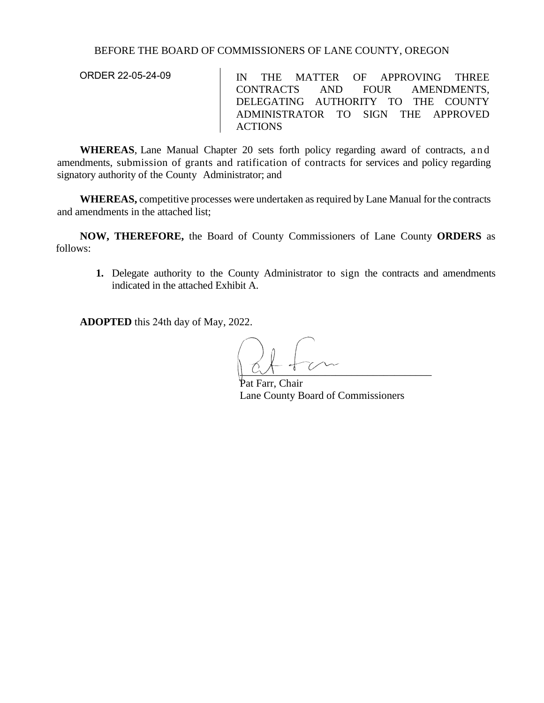## BEFORE THE BOARD OF COMMISSIONERS OF LANE COUNTY, OREGON

ORDER 22-05-24-09

IN THE MATTER OF APPROVING THREE CONTRACTS AND FOUR AMENDMENTS, DELEGATING AUTHORITY TO THE COUNTY ADMINISTRATOR TO SIGN THE APPROVED ACTIONS

**WHEREAS**, Lane Manual Chapter 20 sets forth policy regarding award of contracts, and amendments, submission of grants and ratification of contracts for services and policy regarding signatory authority of the County Administrator; and

**WHEREAS,** competitive processes were undertaken as required by Lane Manual for the contracts and amendments in the attached list;

**NOW, THEREFORE,** the Board of County Commissioners of Lane County **ORDERS** as follows:

**1.** Delegate authority to the County Administrator to sign the contracts and amendments indicated in the attached Exhibit A.

**ADOPTED** this 24th day of May, 2022.

 $\overline{\phantom{a}}$ 

Pat Farr, Chair Lane County Board of Commissioners